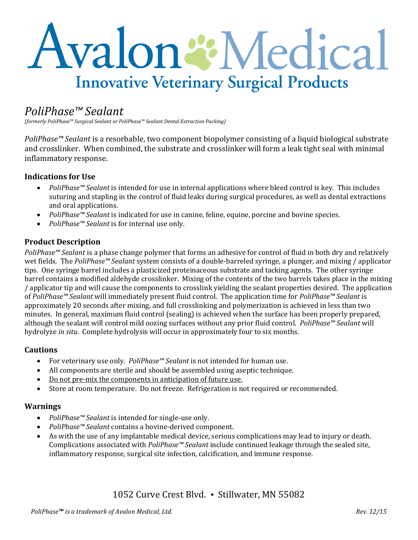# Avalon & Medical **Innovative Veterinary Surgical Products**

# *PoliPhase™ Sealant*

*(formerly PoliPhase™ Surgical Sealant or PoliPhase™ Sealant Dental Extraction Packing)*

*PoliPhase™ Sealant* is a resorbable, two component biopolymer consisting of a liquid biological substrate and crosslinker. When combined, the substrate and crosslinker will form a leak tight seal with minimal inflammatory response.

#### **Indications for Use**

- *PoliPhase™ Sealant* is intended for use in internal applications where bleed control is key. This includes suturing and stapling in the control of fluid leaks during surgical procedures, as well as dental extractions and oral applications.
- *PoliPhase™ Sealant* is indicated for use in canine, feline, equine, porcine and bovine species.
- *PoliPhase™ Sealant* is for internal use only.

## **Product Description**

*PoliPhase™ Sealant* is a phase change polymer that forms an adhesive for control of fluid in both dry and relatively wet fields. The *PoliPhase™ Sealant* system consists of a double-barreled syringe, a plunger, and mixing / applicator tips. One syringe barrel includes a plasticized proteinaceous substrate and tacking agents. The other syringe barrel contains a modified aldehyde crosslinker. Mixing of the contents of the two barrels takes place in the mixing / applicator tip and will cause the components to crosslink yielding the sealant properties desired. The application of *PoliPhase™ Sealant* will immediately present fluid control. The application time for *PoliPhase™ Sealant* is approximately 20 seconds after mixing, and full crosslinking and polymerization is achieved in less than two minutes. In general, maximum fluid control (sealing) is achieved when the surface has been properly prepared, although the sealant will control mild oozing surfaces without any prior fluid control. *PoliPhase™ Sealant* will hydrolyze *in situ*. Complete hydrolysis will occur in approximately four to six months.

#### **Cautions**

- For veterinary use only. *PoliPhase™ Sealant* is not intended for human use.
- All components are sterile and should be assembled using aseptic technique.
- Do not pre-mix the components in anticipation of future use.
- Store at room temperature. Do not freeze. Refrigeration is not required or recommended.

#### **Warnings**

- *PoliPhase™ Sealant* is intended for single-use only.
- *PoliPhase™ Sealant* contains a bovine-derived component.
- As with the use of any implantable medical device, serious complications may lead to injury or death. Complications associated with *PoliPhase™ Sealant* include continued leakage through the sealed site, inflammatory response, surgical site infection, calcification, and immune response.

# 1052 Curve Crest Blvd. • Stillwater, MN 55082